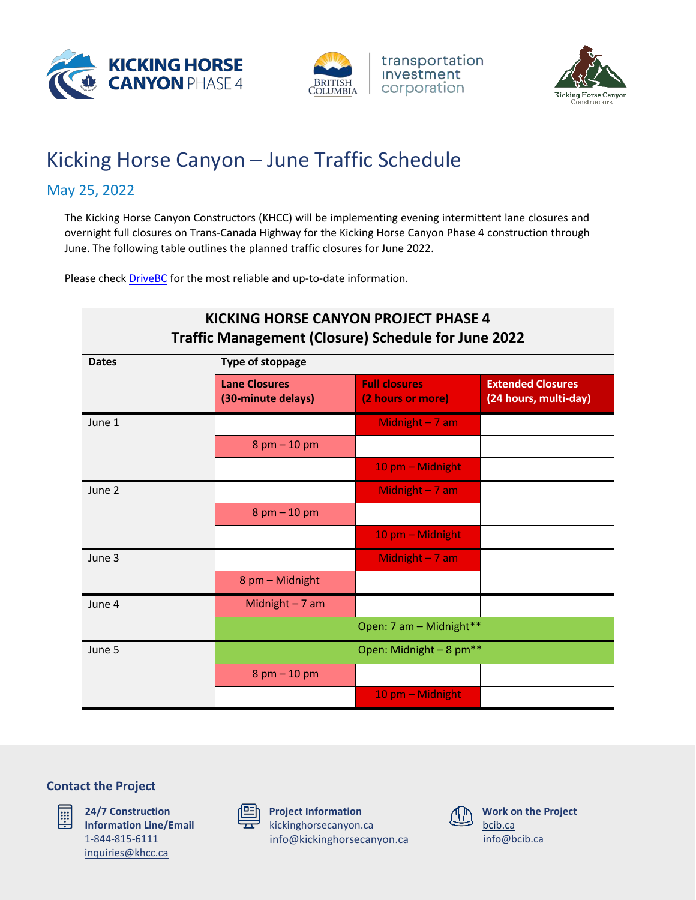





# Kicking Horse Canyon – June Traffic Schedule

# May 25, 2022

The Kicking Horse Canyon Constructors (KHCC) will be implementing evening intermittent lane closures and overnight full closures on Trans-Canada Highway for the Kicking Horse Canyon Phase 4 construction through June. The following table outlines the planned traffic closures for June 2022.

Please check **DriveBC** for the most reliable and up-to-date information.

| <b>KICKING HORSE CANYON PROJECT PHASE 4</b><br><b>Traffic Management (Closure) Schedule for June 2022</b> |                                            |                                           |                                                   |
|-----------------------------------------------------------------------------------------------------------|--------------------------------------------|-------------------------------------------|---------------------------------------------------|
| <b>Dates</b>                                                                                              | <b>Type of stoppage</b>                    |                                           |                                                   |
|                                                                                                           | <b>Lane Closures</b><br>(30-minute delays) | <b>Full closures</b><br>(2 hours or more) | <b>Extended Closures</b><br>(24 hours, multi-day) |
| June 1                                                                                                    |                                            | Midnight $-7$ am                          |                                                   |
|                                                                                                           | $8$ pm $-$ 10 pm                           |                                           |                                                   |
|                                                                                                           |                                            | 10 pm - Midnight                          |                                                   |
| June 2                                                                                                    |                                            | Midnight - 7 am                           |                                                   |
|                                                                                                           | $8$ pm $-10$ pm                            |                                           |                                                   |
|                                                                                                           |                                            | 10 pm - Midnight                          |                                                   |
| June 3                                                                                                    |                                            | Midnight - 7 am                           |                                                   |
|                                                                                                           | 8 pm - Midnight                            |                                           |                                                   |
| June 4                                                                                                    | Midnight $-7$ am                           |                                           |                                                   |
|                                                                                                           | Open: 7 am - Midnight**                    |                                           |                                                   |
| June 5                                                                                                    | Open: Midnight - 8 pm**                    |                                           |                                                   |
|                                                                                                           | $8$ pm $-10$ pm                            |                                           |                                                   |
|                                                                                                           |                                            | 10 pm - Midnight                          |                                                   |

## **Contact the Project**



**24/7 Construction Information Line/Email** 1-844-815-6111 [inquiries@khcc.ca](mailto:inquiries@khcc.ca)



**Project Information** kickinghorsecanyon.ca [info@kickinghorsecanyon.ca](mailto:info@kickinghorsecanyon.ca)

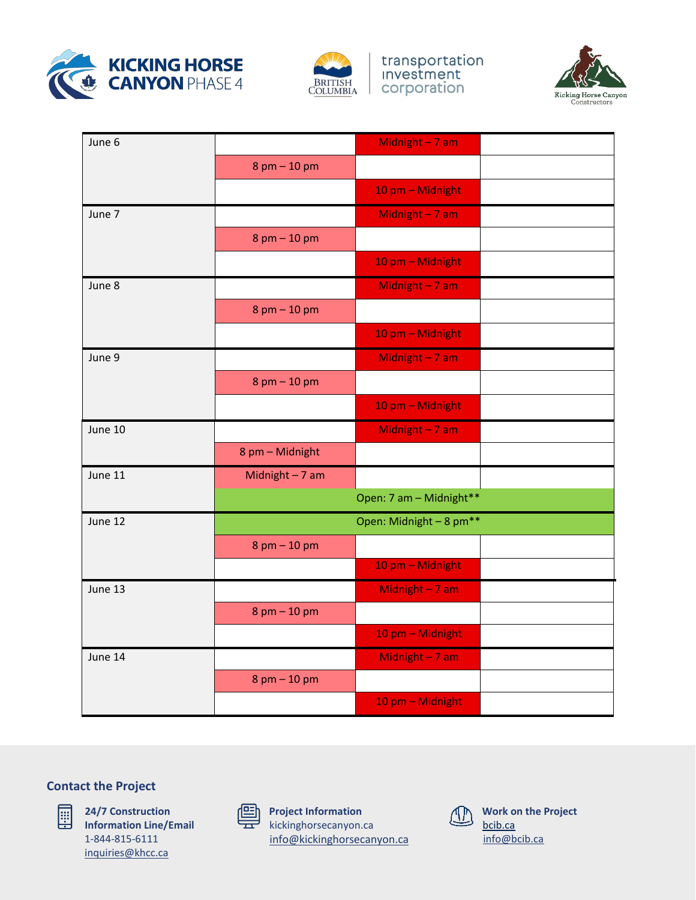



transportation<br>Investment corporation



| June 6  |                         | Midnight - 7 am         |  |
|---------|-------------------------|-------------------------|--|
|         | $8$ pm $-$ 10 pm        |                         |  |
|         |                         | 10 pm - Midnight        |  |
| June 7  |                         | Midnight - 7 am         |  |
|         | $8$ pm $- 10$ pm        |                         |  |
|         |                         | 10 pm - Midnight        |  |
| June 8  |                         | Midnight $-7$ am        |  |
|         | $8$ pm $- 10$ pm        |                         |  |
|         |                         | 10 pm - Midnight        |  |
| June 9  |                         | Midnight $-7$ am        |  |
|         | $8$ pm $- 10$ pm        |                         |  |
|         |                         | 10 pm - Midnight        |  |
| June 10 |                         | Midnight $-7$ am        |  |
|         | 8 pm - Midnight         |                         |  |
| June 11 | Midnight $-7$ am        |                         |  |
|         | Open: 7 am - Midnight** |                         |  |
| June 12 |                         | Open: Midnight - 8 pm** |  |
|         | $8$ pm $- 10$ pm        |                         |  |
|         |                         | 10 pm - Midnight        |  |
| June 13 |                         | Midnight - 7 am         |  |
|         | 8 pm - 10 pm            |                         |  |
|         |                         | 10 pm - Midnight        |  |
| June 14 |                         | Midnight - 7 am         |  |
|         | $8$ pm $- 10$ pm        |                         |  |
|         |                         | 10 pm - Midnight        |  |

### **Contact the Project**



**24/7 Construction Information Line/Email** 1-844-815-6111 [inquiries@khcc.ca](mailto:inquiries@khcc.ca)



**Project Information** kickinghorsecanyon.ca [info@kickinghorsecanyon.ca](mailto:info@kickinghorsecanyon.ca)

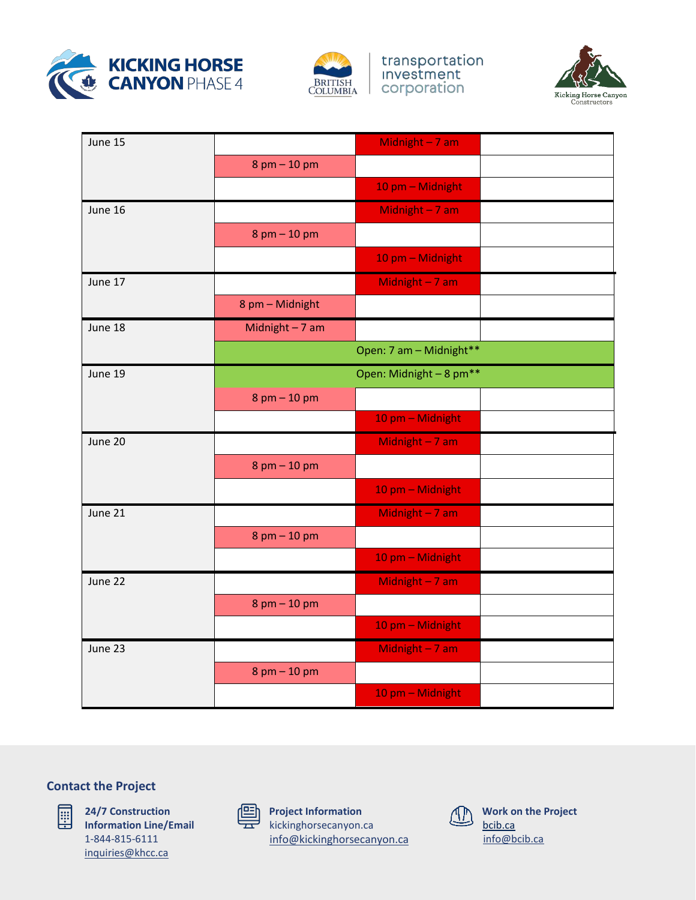



transportation<br>Investment corporation



| June 15 |                         | Midnight - 7 am                     |  |
|---------|-------------------------|-------------------------------------|--|
|         | $8$ pm $-$ 10 pm        |                                     |  |
|         |                         | 10 pm - Midnight                    |  |
| June 16 |                         | Midnight $-7$ am                    |  |
|         | $8$ pm $-$ 10 pm        |                                     |  |
|         |                         | 10 pm - Midnight                    |  |
| June 17 |                         | Midnight - 7 am                     |  |
|         | 8 pm - Midnight         |                                     |  |
| June 18 | Midnight $-7$ am        |                                     |  |
|         | Open: 7 am - Midnight** |                                     |  |
| June 19 |                         | Open: Midnight - 8 pm <sup>**</sup> |  |
|         | $8$ pm $-$ 10 pm        |                                     |  |
|         |                         | 10 pm - Midnight                    |  |
| June 20 |                         | Midnight - 7 am                     |  |
|         | $8$ pm $- 10$ pm        |                                     |  |
|         |                         | 10 pm - Midnight                    |  |
| June 21 |                         | Midnight - 7 am                     |  |
|         | $8$ pm $- 10$ pm        |                                     |  |
|         |                         | 10 pm - Midnight                    |  |
| June 22 |                         | Midnight - 7 am                     |  |
|         | $8$ pm $-$ 10 pm        |                                     |  |
|         |                         | 10 pm - Midnight                    |  |
| June 23 |                         | Midnight - 7 am                     |  |
|         | $8$ pm $- 10$ pm        |                                     |  |
|         |                         | 10 pm - Midnight                    |  |

### **Contact the Project**



**24/7 Construction Information Line/Email** 1-844-815-6111 [inquiries@khcc.ca](mailto:inquiries@khcc.ca)



**Project Information** kickinghorsecanyon.ca [info@kickinghorsecanyon.ca](mailto:info@kickinghorsecanyon.ca)

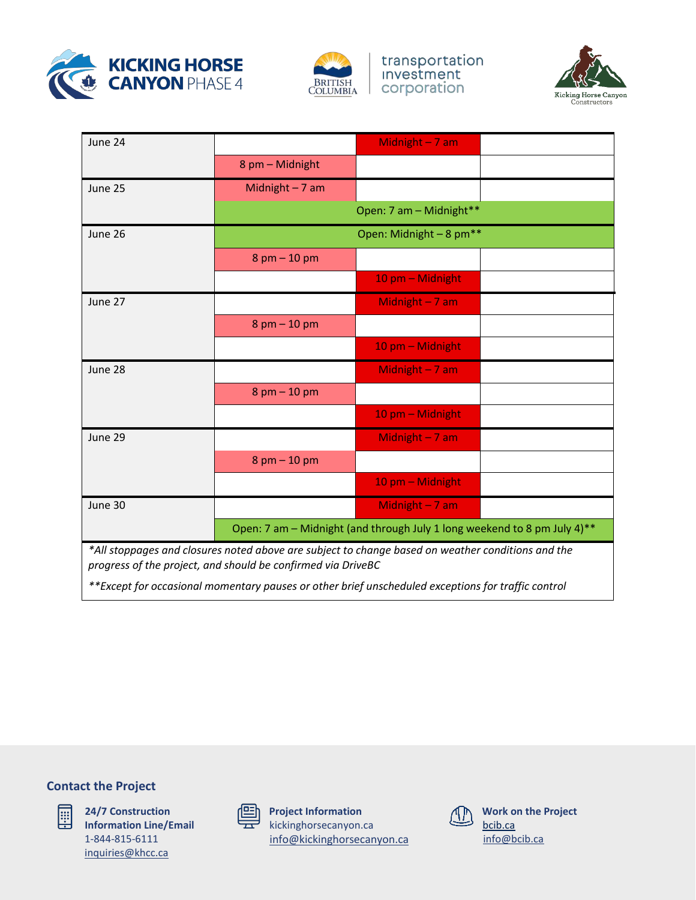



transportation<br>Investment corporation



| June 24 |                                                                          | Midnight - 7 am                                                                                   |  |
|---------|--------------------------------------------------------------------------|---------------------------------------------------------------------------------------------------|--|
|         | 8 pm - Midnight                                                          |                                                                                                   |  |
| June 25 | Midnight $-7$ am                                                         |                                                                                                   |  |
|         |                                                                          | Open: 7 am - Midnight**                                                                           |  |
| June 26 | Open: Midnight - 8 pm <sup>**</sup>                                      |                                                                                                   |  |
|         | $8$ pm $- 10$ pm                                                         |                                                                                                   |  |
|         |                                                                          | 10 pm - Midnight                                                                                  |  |
| June 27 |                                                                          | Midnight - 7 am                                                                                   |  |
|         | $8$ pm $-$ 10 pm                                                         |                                                                                                   |  |
|         |                                                                          | 10 pm - Midnight                                                                                  |  |
| June 28 |                                                                          | Midnight - 7 am                                                                                   |  |
|         | $8$ pm $-$ 10 pm                                                         |                                                                                                   |  |
|         |                                                                          | 10 pm - Midnight                                                                                  |  |
| June 29 |                                                                          | Midnight $-7$ am                                                                                  |  |
|         | $8$ pm $-$ 10 pm                                                         |                                                                                                   |  |
|         |                                                                          | 10 pm - Midnight                                                                                  |  |
| June 30 |                                                                          | Midnight - 7 am                                                                                   |  |
|         | Open: 7 am - Midnight (and through July 1 long weekend to 8 pm July 4)** |                                                                                                   |  |
|         | progress of the project, and should be confirmed via DriveBC             | *All stoppages and closures noted above are subject to change based on weather conditions and the |  |

*\*\*Except for occasional momentary pauses or other brief unscheduled exceptions for traffic control*

## **Contact the Project**



**24/7 Construction Information Line/Email** 1-844-815-6111 [inquiries@khcc.ca](mailto:inquiries@khcc.ca)

| ⋍ |  |
|---|--|
|   |  |

**Project Information** kickinghorsecanyon.ca [info@kickinghorsecanyon.ca](mailto:info@kickinghorsecanyon.ca)